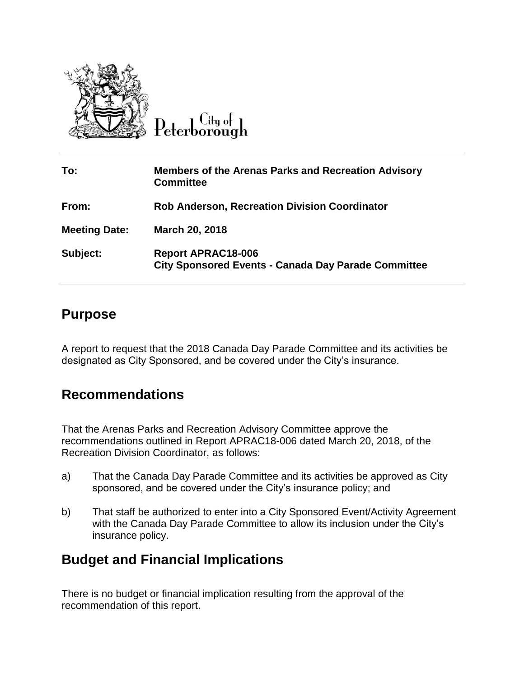

 $C$ ity of

| To:                  | <b>Members of the Arenas Parks and Recreation Advisory</b><br><b>Committee</b>          |
|----------------------|-----------------------------------------------------------------------------------------|
| From:                | <b>Rob Anderson, Recreation Division Coordinator</b>                                    |
| <b>Meeting Date:</b> | March 20, 2018                                                                          |
| Subject:             | <b>Report APRAC18-006</b><br><b>City Sponsored Events - Canada Day Parade Committee</b> |

## **Purpose**

A report to request that the 2018 Canada Day Parade Committee and its activities be designated as City Sponsored, and be covered under the City's insurance.

## **Recommendations**

That the Arenas Parks and Recreation Advisory Committee approve the recommendations outlined in Report APRAC18-006 dated March 20, 2018, of the Recreation Division Coordinator, as follows:

- a) That the Canada Day Parade Committee and its activities be approved as City sponsored, and be covered under the City's insurance policy; and
- b) That staff be authorized to enter into a City Sponsored Event/Activity Agreement with the Canada Day Parade Committee to allow its inclusion under the City's insurance policy.

## **Budget and Financial Implications**

There is no budget or financial implication resulting from the approval of the recommendation of this report.